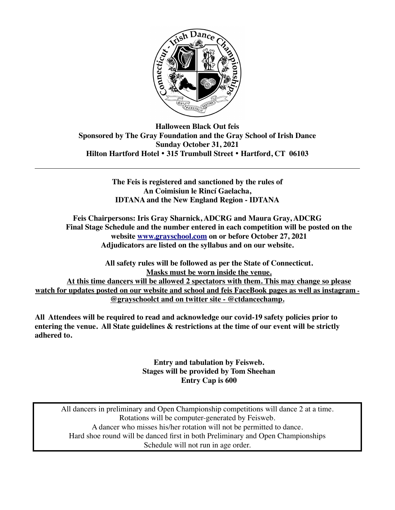

**Halloween Black Out feis Sponsored by The Gray Foundation and the Gray School of Irish Dance Sunday October 31, 2021 Hilton Hartford Hotel** • **315 Trumbull Street** • **Hartford, CT 06103** 

> **The Feis is registered and sanctioned by the rules of An Coimisiun le Rincí Gaelacha, IDTANA and the New England Region - IDTANA**

**Feis Chairpersons: Iris Gray Sharnick, ADCRG and Maura Gray, ADCRG Final Stage Schedule and the number entered in each competition will be posted on the website [www.grayschool.com](http://www.grayschool.com) on or before October 27, 2021 Adjudicators are listed on the syllabus and on our website.** 

**All safety rules will be followed as per the State of Connecticut. Masks must be worn inside the venue. At this time dancers will be allowed 2 spectators with them. This may change so please watch for updates posted on our website and school and feis FaceBook pages as well as instagram - @grayschoolct and on twitter site - @ctdancechamp.** 

**All Attendees will be required to read and acknowledge our covid-19 safety policies prior to entering the venue. All State guidelines & restrictions at the time of our event will be strictly adhered to.** 

> **Entry and tabulation by Feisweb. Stages will be provided by Tom Sheehan Entry Cap is 600**

All dancers in preliminary and Open Championship competitions will dance 2 at a time. Rotations will be computer-generated by Feisweb. A dancer who misses his/her rotation will not be permitted to dance. Hard shoe round will be danced first in both Preliminary and Open Championships Schedule will not run in age order.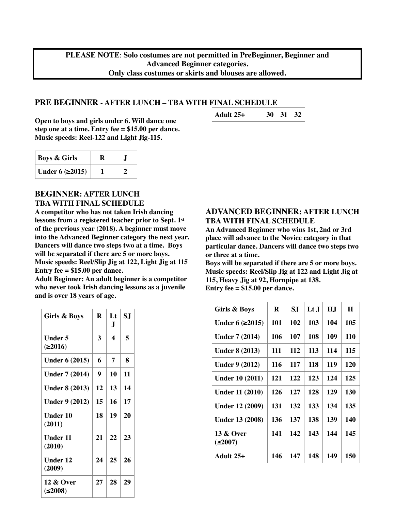**PLEASE NOTE**: **Solo costumes are not permitted in PreBeginner, Beginner and Advanced Beginner categories. Only class costumes or skirts and blouses are allowed.**

## **PRE BEGINNER - AFTER LUNCH – TBA WITH FINAL SCHEDULE**

**Open to boys and girls under 6. Will dance one step one at a time. Entry fee = \$15.00 per dance. Music speeds: Reel-122 and Light Jig-115.** 

| <b>Boys &amp; Girls</b>  | R |  |
|--------------------------|---|--|
| Under $6$ ( $\geq$ 2015) |   |  |

#### **BEGINNER: AFTER LUNCH TBA WITH FINAL SCHEDULE**

**A competitor who has not taken Irish dancing lessons from a registered teacher prior to Sept. 1st of the previous year (2018). A beginner must move into the Advanced Beginner category the next year. Dancers will dance two steps two at a time. Boys will be separated if there are 5 or more boys. Music speeds: Reel/Slip Jig at 122, Light Jig at 115 Entry fee = \$15.00 per dance.** 

**Adult Beginner: An adult beginner is a competitor who never took Irish dancing lessons as a juvenile and is over 18 years of age.** 

| Girls & Boys                   | R  | Lt<br>J | SJ |
|--------------------------------|----|---------|----|
| Under 5<br>(≥2016)             | 3  | 4       | 5  |
| <b>Under 6 (2015)</b>          | 6  | 7       | 8  |
| <b>Under 7 (2014)</b>          | 9  | 10      | 11 |
| <b>Under 8 (2013)</b>          | 12 | 13      | 14 |
| <b>Under 9 (2012)</b>          | 15 | 16      | 17 |
| Under 10<br>(2011)             | 18 | 19      | 20 |
| <b>Under 11</b><br>(2010)      | 21 | 22      | 23 |
| <b>Under 12</b><br>(2009)      | 24 | 25      | 26 |
| <b>12 &amp; Over</b><br>≤2008) | 27 | 28      | 29 |

## **ADVANCED BEGINNER: AFTER LUNCH TBA WITH FINAL SCHEDULE**

**An Advanced Beginner who wins 1st, 2nd or 3rd place will advance to the Novice category in that particular dance. Dancers will dance two steps two or three at a time.**

**Boys will be separated if there are 5 or more boys. Music speeds: Reel/Slip Jig at 122 and Light Jig at 115, Heavy Jig at 92, Hornpipe at 138. Entry fee = \$15.00 per dance.** 

| Girls & Boys               | R   | SJ  | Lt J | H.J | H          |
|----------------------------|-----|-----|------|-----|------------|
| Under $6$ ( $\geq$ 2015)   | 101 | 102 | 103  | 104 | 105        |
| <b>Under 7 (2014)</b>      | 106 | 107 | 108  | 109 | <b>110</b> |
| <b>Under 8 (2013)</b>      | 111 | 112 | 113  | 114 | 115        |
| <b>Under 9 (2012)</b>      | 116 | 117 | 118  | 119 | 120        |
| <b>Under 10 (2011)</b>     | 121 | 122 | 123  | 124 | 125        |
| <b>Under 11 (2010)</b>     | 126 | 127 | 128  | 129 | 130        |
| <b>Under 12 (2009)</b>     | 131 | 132 | 133  | 134 | 135        |
| <b>Under 13 (2008)</b>     | 136 | 137 | 138  | 139 | 140        |
| 13 & Over<br>$(\leq 2007)$ | 141 | 142 | 143  | 144 | 145        |
| Adult $25+$                | 146 | 147 | 148  | 149 | 150        |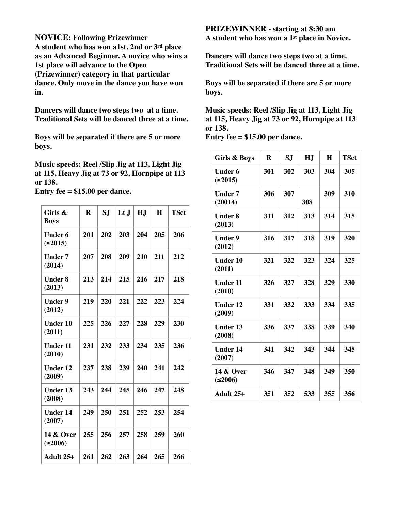**NOVICE: Following Prizewinner** 

**A student who has won a1st, 2nd or 3rd place as an Advanced Beginner. A novice who wins a 1st place will advance to the Open (Prizewinner) category in that particular dance. Only move in the dance you have won in.**

**Dancers will dance two steps two at a time. Traditional Sets will be danced three at a time.** 

**Boys will be separated if there are 5 or more boys.** 

**Music speeds: Reel /Slip Jig at 113, Light Jig at 115, Heavy Jig at 73 or 92, Hornpipe at 113 or 138.** 

**Entry fee = \$15.00 per dance.** 

| Girls &<br><b>Boys</b>         | R   | S.J | $L t$ J | HJ  | H   | <b>TSet</b> |
|--------------------------------|-----|-----|---------|-----|-----|-------------|
| <b>Under 6</b><br>(2015)       | 201 | 202 | 203     | 204 | 205 | 206         |
| <b>Under 7</b><br>(2014)       | 207 | 208 | 209     | 210 | 211 | 212         |
| <b>Under 8</b><br>(2013)       | 213 | 214 | 215     | 216 | 217 | 218         |
| <b>Under 9</b><br>(2012)       | 219 | 220 | 221     | 222 | 223 | 224         |
| <b>Under 10</b><br>(2011)      | 225 | 226 | 227     | 228 | 229 | 230         |
| <b>Under 11</b><br>(2010)      | 231 | 232 | 233     | 234 | 235 | 236         |
| <b>Under 12</b><br>(2009)      | 237 | 238 | 239     | 240 | 241 | 242         |
| <b>Under 13</b><br>(2008)      | 243 | 244 | 245     | 246 | 247 | 248         |
| <b>Under 14</b><br>(2007)      | 249 | 250 | 251     | 252 | 253 | 254         |
| <b>14 &amp; Over</b><br>(2006) | 255 | 256 | 257     | 258 | 259 | 260         |
| Adult $25+$                    | 261 | 262 | 263     | 264 | 265 | 266         |

**PRIZEWINNER - starting at 8:30 am A student who has won a 1st place in Novice.**

**Dancers will dance two steps two at a time. Traditional Sets will be danced three at a time.** 

**Boys will be separated if there are 5 or more boys.** 

**Music speeds: Reel /Slip Jig at 113, Light Jig at 115, Heavy Jig at 73 or 92, Hornpipe at 113 or 138.** 

**Entry fee = \$15.00 per dance.** 

| Girls & Boys              | R   | S.J | HJ  | H   | <b>TSet</b> |
|---------------------------|-----|-----|-----|-----|-------------|
| Under 6<br>(2015)         | 301 | 302 | 303 | 304 | 305         |
| Under 7<br>(20014)        | 306 | 307 | 308 | 309 | 310         |
| <b>Under 8</b><br>(2013)  | 311 | 312 | 313 | 314 | 315         |
| <b>Under 9</b><br>(2012)  | 316 | 317 | 318 | 319 | 320         |
| <b>Under 10</b><br>(2011) | 321 | 322 | 323 | 324 | 325         |
| <b>Under 11</b><br>(2010) | 326 | 327 | 328 | 329 | 330         |
| <b>Under 12</b><br>(2009) | 331 | 332 | 333 | 334 | 335         |
| <b>Under 13</b><br>(2008) | 336 | 337 | 338 | 339 | 340         |
| <b>Under 14</b><br>(2007) | 341 | 342 | 343 | 344 | 345         |
| 14 & Over<br>(2006)       | 346 | 347 | 348 | 349 | 350         |
| Adult 25+                 | 351 | 352 | 533 | 355 | 356         |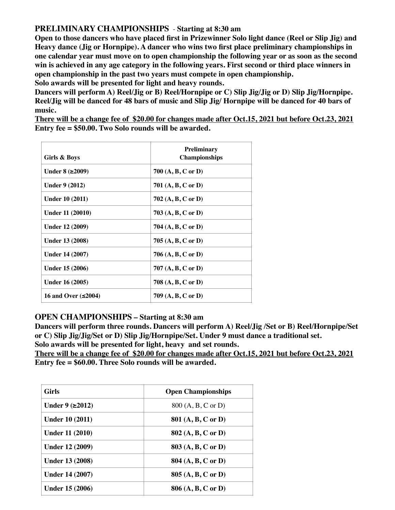## **PRELIMINARY CHAMPIONSHIPS** - **Starting at 8:30 am**

**Open to those dancers who have placed first in Prizewinner Solo light dance (Reel or Slip Jig) and Heavy dance (Jig or Hornpipe). A dancer who wins two first place preliminary championships in one calendar year must move on to open championship the following year or as soon as the second win is achieved in any age category in the following years. First second or third place winners in open championship in the past two years must compete in open championship.**

**Solo awards will be presented for light and heavy rounds.** 

**Dancers will perform A) Reel/Jig or B) Reel/Hornpipe or C) Slip Jig/Jig or D) Slip Jig/Hornpipe. Reel/Jig will be danced for 48 bars of music and Slip Jig/ Hornpipe will be danced for 40 bars of music.**

**There will be a change fee of \$20.00 for changes made after Oct.15, 2021 but before Oct.23, 2021 Entry fee = \$50.00. Two Solo rounds will be awarded.** 

| Girls & Boys              | <b>Preliminary</b><br><b>Championships</b> |
|---------------------------|--------------------------------------------|
| Under $8$ ( $\geq$ 2009)  | 700 $(A, B, C \text{ or } D)$              |
| <b>Under 9 (2012)</b>     | 701 (A, B, C or D)                         |
| <b>Under 10 (2011)</b>    | 702 (A, B, C or D)                         |
| Under 11 (20010)          | 703 (A, B, C or D)                         |
| <b>Under 12 (2009)</b>    | 704 $(A, B, C \text{ or } D)$              |
| <b>Under 13 (2008)</b>    | 705 (A, B, C or D)                         |
| <b>Under 14 (2007)</b>    | 706 $(A, B, C \text{ or } D)$              |
| Under 15 (2006)           | 707 (A, B, C or D)                         |
| Under 16 (2005)           | 708 (A, B, C or D)                         |
| 16 and Over $(\leq 2004)$ | 709 (A, B, C or D)                         |

## **OPEN CHAMPIONSHIPS – Starting at 8:30 am**

**Dancers will perform three rounds. Dancers will perform A) Reel/Jig /Set or B) Reel/Hornpipe/Set or C) Slip Jig/Jig/Set or D) Slip Jig/Hornpipe/Set. Under 9 must dance a traditional set.**

**Solo awards will be presented for light, heavy and set rounds.** 

**There will be a change fee of \$20.00 for changes made after Oct.15, 2021 but before Oct.23, 2021 Entry fee = \$60.00. Three Solo rounds will be awarded.** 

| <b>Girls</b>              | <b>Open Championships</b> |
|---------------------------|---------------------------|
| Under $9$ ( $\geq 2012$ ) | 800 (A, B, C or D)        |
| <b>Under 10 (2011)</b>    | 801 (A, B, C or D)        |
| <b>Under 11 (2010)</b>    | 802 (A, B, C or D)        |
| <b>Under 12 (2009)</b>    | 803 (A, B, C or D)        |
| <b>Under 13 (2008)</b>    | 804 (A, B, C or D)        |
| <b>Under 14 (2007)</b>    | 805 (A, B, C or D)        |
| Under 15 (2006)           | 806 (A, B, C or D)        |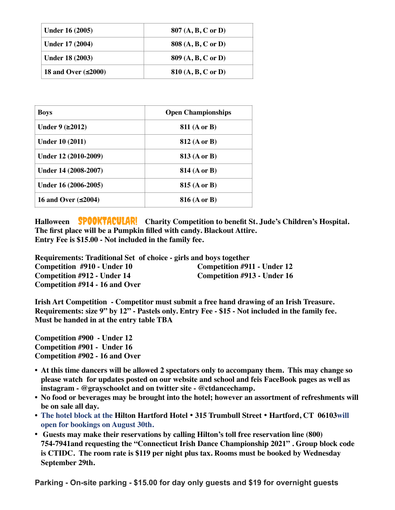| Under 16 (2005)           | $807(A, B, C \text{ or } D)$  |
|---------------------------|-------------------------------|
| Under 17 (2004)           | 808 (A, B, C or D)            |
| <b>Under 18 (2003)</b>    | 809 (A, B, C or D)            |
| 18 and Over $(\leq 2000)$ | 810 $(A, B, C \text{ or } D)$ |

| <b>Boys</b>               | <b>Open Championships</b> |
|---------------------------|---------------------------|
| Under $9$ ( $\geq 2012$ ) | <b>811</b> (A or B)       |
| <b>Under 10 (2011)</b>    | <b>812 (A or B)</b>       |
| Under 12 (2010-2009)      | <b>813 (A or B)</b>       |
| Under 14 (2008-2007)      | <b>814 (A or B)</b>       |
| Under 16 (2006-2005)      | <b>815 (A or B)</b>       |
| 16 and Over $(\leq 2004)$ | <b>816 (A or B)</b>       |

Halloween **SPOOKTACULAR!** Charity Competition to benefit St. Jude's Children's Hospital. **The first place will be a Pumpkin filled with candy. Blackout Attire. Entry Fee is \$15.00 - Not included in the family fee.** 

**Requirements: Traditional Set of choice - girls and boys together Competition #910 - Under 10 Competition #911 - Under 12 Competition #912 - Under 14 Competition #913 - Under 16 Competition #914 - 16 and Over** 

**Irish Art Competition - Competitor must submit a free hand drawing of an Irish Treasure. Requirements: size 9" by 12" - Pastels only. Entry Fee - \$15 - Not included in the family fee. Must be handed in at the entry table TBA** 

**Competition #900 - Under 12 Competition #901 - Under 16 Competition #902 - 16 and Over**

- **• At this time dancers will be allowed 2 spectators only to accompany them. This may change so please watch for updates posted on our website and school and feis FaceBook pages as well as instagram - @grayschoolct and on twitter site - @ctdancechamp.**
- **• No food or beverages may be brought into the hotel; however an assortment of refreshments will be on sale all day.**
- **• The hotel block at the Hilton Hartford Hotel** • **315 Trumbull Street** • **Hartford, CT 06103will open for bookings on August 30th.**
- **• Guests may make their reservations by calling Hilton's toll free reservation line (800) 754-7941and requesting the "Connecticut Irish Dance Championship 2021" . Group block code is CTIDC. The room rate is \$119 per night plus tax. Rooms must be booked by Wednesday September 29th.**

**Parking - On-site parking - \$15.00 for day only guests and \$19 for overnight guests**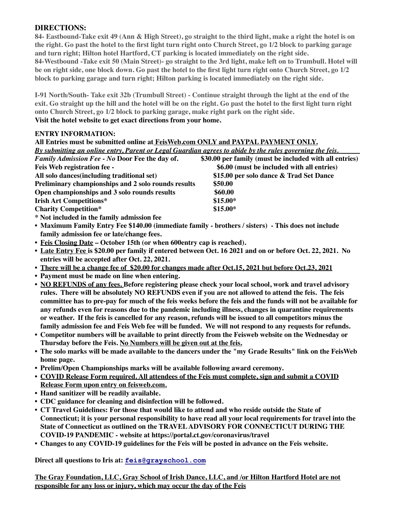## **DIRECTIONS:**

**84- Eastbound-Take exit 49 (Ann & High Street), go straight to the third light, make a right the hotel is on the right. Go past the hotel to the first light turn right onto Church Street, go 1/2 block to parking garage and turn right; Hilton hotel Hartford, CT parking is located immediately on the right side. 84-Westbound -Take exit 50 (Main Street)- go straight to the 3rd light, make left on to Trumbull. Hotel will be on right side, one block down. Go past the hotel to the first light turn right onto Church Street, go 1/2 block to parking garage and turn right; Hilton parking is located immediately on the right side.**

**I-91 North/South- Take exit 32b (Trumbull Street) - Continue straight through the light at the end of the exit. Go straight up the hill and the hotel will be on the right. Go past the hotel to the first light turn right onto Church Street, go 1/2 block to parking garage, make right park on the right side. Visit the hotel website to get exact directions from your home.** 

#### **ENTRY INFORMATION:**

| All Entries must be submitted online at FeisWeb.com ONLY and PAYPAL PAYMENT ONLY.                        |                                                        |  |  |
|----------------------------------------------------------------------------------------------------------|--------------------------------------------------------|--|--|
| By submitting an online entry, Parent or Legal Guardian agrees to abide by the rules governing the feis. |                                                        |  |  |
| <b>Family Admission Fee - No Door Fee the day of.</b>                                                    | \$30.00 per family (must be included with all entries) |  |  |
| Feis Web registration fee -                                                                              | \$6.00 (must be included with all entries)             |  |  |
| All solo dances (including traditional set)                                                              | \$15.00 per solo dance & Trad Set Dance                |  |  |
| Preliminary championships and 2 solo rounds results                                                      | \$50.00                                                |  |  |
| Open championships and 3 solo rounds results                                                             | \$60.00                                                |  |  |
| <b>Irish Art Competitions*</b>                                                                           | $$15.00*$                                              |  |  |
| <b>Charity Competition*</b>                                                                              | $$15.00*$                                              |  |  |
| * Not included in the family admission fee                                                               |                                                        |  |  |

- **• Maximum Family Entry Fee \$140.00 (immediate family brothers / sisters) This does not include family admission fee or late/change fees.**
- **• Feis Closing Date October 15th (or when 600entry cap is reached).**
- **• Late Entry Fee is \$20.00 per family if entered between Oct. 16 2021 and on or before Oct. 22, 2021. No entries will be accepted after Oct. 22, 2021.**
- **• There will be a change fee of \$20.00 for changes made after Oct.15, 2021 but before Oct.23, 2021**
- **• Payment must be made on line when entering.**
- **• NO REFUNDS of any fees. Before registering please check your local school, work and travel advisory rules. There will be absolutely NO REFUNDS even if you are not allowed to attend the feis. The feis committee has to pre-pay for much of the feis weeks before the feis and the funds will not be available for any refunds even for reasons due to the pandemic including illness, changes in quarantine requirements or weather. If the feis is cancelled for any reason, refunds will be issued to all competitors minus the family admission fee and Feis Web fee will be funded. We will not respond to any requests for refunds.**
- **• Competitor numbers will be available to print directly from the Feisweb website on the Wednesday or Thursday before the Feis. No Numbers will be given out at the feis.**
- **• The solo marks will be made available to the dancers under the "my Grade Results" link on the FeisWeb home page.**
- **• Prelim/Open Championships marks will be available following award ceremony.**
- **• COVID Release Form required. All attendees of the Feis must complete, sign and submit a COVID Release Form upon entry on feisweb.com.**
- **• Hand sanitizer will be readily available.**
- **• CDC guidance for cleaning and disinfection will be followed.**
- **• CT Travel Guidelines: For those that would like to attend and who reside outside the State of Connecticut; it is your personal responsibility to have read all your local requirements for travel into the State of Connecticut as outlined on the TRAVEL ADVISORY FOR CONNECTICUT DURING THE COVID-19 PANDEMIC - website at https://portal.ct.gov/coronavirus/travel**
- **• Changes to any COVID-19 guidelines for the Feis will be posted in advance on the Feis website.**

**Direct all questions to Iris at: [feis@grayschool.com](mailto:iris@grayschool.com)**

**The Gray Foundation, LLC, Gray School of Irish Dance, LLC, and /or Hilton Hartford Hotel are not responsible for any loss or injury, which may occur the day of the Feis**